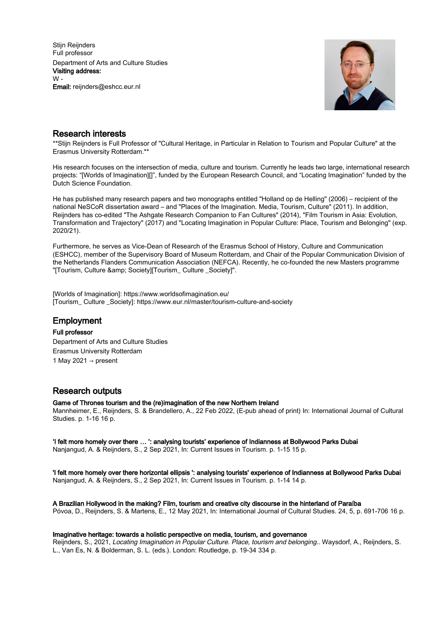Stijn Reijnders Full professor Department of Arts and Culture Studies Visiting address:  $W -$ Email: reijnders@eshcc.eur.nl



# Research interests

\*\*Stijn Reijnders is Full Professor of "Cultural Heritage, in Particular in Relation to Tourism and Popular Culture" at the Erasmus University Rotterdam.\*\*

His research focuses on the intersection of media, culture and tourism. Currently he leads two large, international research projects: "[Worlds of Imagination][]", funded by the European Research Council, and "Locating Imagination" funded by the Dutch Science Foundation.

He has published many research papers and two monographs entitled "Holland op de Helling" (2006) – recipient of the national NeSCoR dissertation award – and "Places of the Imagination. Media, Tourism, Culture" (2011). In addition, Reijnders has co-edited "The Ashgate Research Companion to Fan Cultures" (2014), "Film Tourism in Asia: Evolution, Transformation and Trajectory" (2017) and "Locating Imagination in Popular Culture: Place, Tourism and Belonging" (exp. 2020/21).

Furthermore, he serves as Vice-Dean of Research of the Erasmus School of History, Culture and Communication (ESHCC), member of the Supervisory Board of Museum Rotterdam, and Chair of the Popular Communication Division of the Netherlands Flanders Communication Association (NEFCA). Recently, he co-founded the new Masters programme "[Tourism, Culture & amp; Society][Tourism\_ Culture \_Society]".

[Worlds of Imagination]: https://www.worldsofimagination.eu/ [Tourism\_ Culture \_Society]: https://www.eur.nl/master/tourism-culture-and-society

# **Employment**

# Full professor

Department of Arts and Culture Studies Erasmus University Rotterdam 1 May 2021  $\rightarrow$  present

# Research outputs

Game of Thrones tourism and the (re)imagination of the new Northern Ireland

Mannheimer, E., Reijnders, S. & Brandellero, A., 22 Feb 2022, (E-pub ahead of print) In: International Journal of Cultural Studies. p. 1-16 16 p.

'I felt more homely over there … ': analysing tourists' experience of Indianness at Bollywood Parks Dubai Nanjangud, A. & Reijnders, S., 2 Sep 2021, In: Current Issues in Tourism. p. 1-15 15 p.

'I felt more homely over there horizontal ellipsis ': analysing tourists' experience of Indianness at Bollywood Parks Dubai Nanjangud, A. & Reijnders, S., 2 Sep 2021, In: Current Issues in Tourism. p. 1-14 14 p.

A Brazilian Hollywood in the making? Film, tourism and creative city discourse in the hinterland of Paraíba Póvoa, D., Reijnders, S. & Martens, E., 12 May 2021, In: International Journal of Cultural Studies. 24, 5, p. 691-706 16 p.

# Imaginative heritage: towards a holistic perspective on media, tourism, and governance

Reijnders, S., 2021, Locating Imagination in Popular Culture. Place, tourism and belonging.. Waysdorf, A., Reijnders, S. L., Van Es, N. & Bolderman, S. L. (eds.). London: Routledge, p. 19-34 334 p.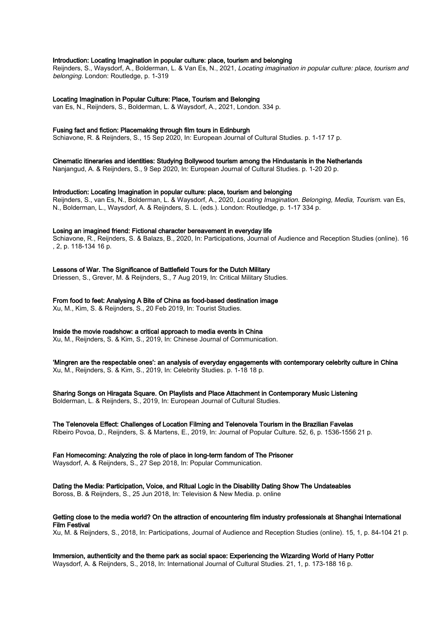# Introduction: Locating Imagination in popular culture: place, tourism and belonging

Reijnders, S., Waysdorf, A., Bolderman, L. & Van Es, N., 2021, Locating imagination in popular culture: place, tourism and belonging. London: Routledge, p. 1-319

Locating Imagination in Popular Culture: Place, Tourism and Belonging

van Es, N., Reijnders, S., Bolderman, L. & Waysdorf, A., 2021, London. 334 p.

# Fusing fact and fiction: Placemaking through film tours in Edinburgh

Schiavone, R. & Reijnders, S., 15 Sep 2020, In: European Journal of Cultural Studies. p. 1-17 17 p.

Cinematic itineraries and identities: Studying Bollywood tourism among the Hindustanis in the Netherlands

Nanjangud, A. & Reijnders, S., 9 Sep 2020, In: European Journal of Cultural Studies. p. 1-20 20 p.

#### Introduction: Locating Imagination in popular culture: place, tourism and belonging

Reiinders, S., van Es, N., Bolderman, L. & Waysdorf, A., 2020, Locating Imagination. Belonging, Media, Tourism. van Es, N., Bolderman, L., Waysdorf, A. & Reijnders, S. L. (eds.). London: Routledge, p. 1-17 334 p.

#### Losing an imagined friend: Fictional character bereavement in everyday life

Schiavone, R., Reijnders, S. & Balazs, B., 2020, In: Participations, Journal of Audience and Reception Studies (online). 16 , 2, p. 118-134 16 p.

#### Lessons of War. The Significance of Battlefield Tours for the Dutch Military

Driessen, S., Grever, M. & Reijnders, S., 7 Aug 2019, In: Critical Military Studies.

# From food to feet: Analysing A Bite of China as food-based destination image

Xu, M., Kim, S. & Reijnders, S., 20 Feb 2019, In: Tourist Studies.

# Inside the movie roadshow: a critical approach to media events in China

Xu, M., Reijnders, S. & Kim, S., 2019, In: Chinese Journal of Communication.

# 'Mingren are the respectable ones': an analysis of everyday engagements with contemporary celebrity culture in China

Xu, M., Reijnders, S. & Kim, S., 2019, In: Celebrity Studies. p. 1-18 18 p.

# Sharing Songs on Hiragata Square. On Playlists and Place Attachment in Contemporary Music Listening

Bolderman, L. & Reijnders, S., 2019, In: European Journal of Cultural Studies.

# The Telenovela Effect: Challenges of Location Filming and Telenovela Tourism in the Brazilian Favelas

Ribeiro Povoa, D., Reijnders, S. & Martens, E., 2019, In: Journal of Popular Culture. 52, 6, p. 1536-1556 21 p.

# Fan Homecoming: Analyzing the role of place in long-term fandom of The Prisoner

Waysdorf, A. & Reijnders, S., 27 Sep 2018, In: Popular Communication.

Dating the Media: Participation, Voice, and Ritual Logic in the Disability Dating Show The Undateables Boross, B. & Reijnders, S., 25 Jun 2018, In: Television & New Media. p. online

# Getting close to the media world? On the attraction of encountering film industry professionals at Shanghai International Film Festival

Xu, M. & Reijnders, S., 2018, In: Participations, Journal of Audience and Reception Studies (online). 15, 1, p. 84-104 21 p.

Immersion, authenticity and the theme park as social space: Experiencing the Wizarding World of Harry Potter Waysdorf, A. & Reijnders, S., 2018, In: International Journal of Cultural Studies. 21, 1, p. 173-188 16 p.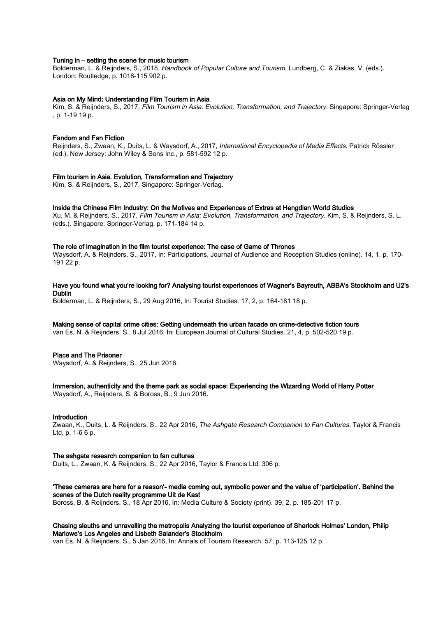# Tuning in – setting the scene for music tourism

Bolderman, L. & Reijnders, S., 2018, Handbook of Popular Culture and Tourism. Lundberg, C. & Ziakas, V. (eds.). London: Routledge, p. 1018-115 902 p.

# Asia on My Mind: Understanding Film Tourism in Asia

Kim, S. & Reijnders, S., 2017, Film Tourism in Asia. Evolution, Transformation, and Trajectory. Singapore: Springer-Verlag , p. 1-19 19 p.

# Fandom and Fan Fiction

Reijnders, S., Zwaan, K., Duits, L. & Waysdorf, A., 2017, International Encyclopedia of Media Effects. Patrick Rössler (ed.). New Jersey: John Wiley & Sons Inc., p. 581-592 12 p.

#### Film tourism in Asia. Evolution, Transformation and Trajectory

Kim, S. & Reijnders, S., 2017, Singapore: Springer-Verlag.

#### Inside the Chinese Film Industry: On the Motives and Experiences of Extras at Hengdian World Studios

Xu, M. & Reijnders, S., 2017, Film Tourism in Asia: Evolution, Transformation, and Trajectory. Kim, S. & Reijnders, S. L. (eds.). Singapore: Springer-Verlag, p. 171-184 14 p.

#### The role of imagination in the film tourist experience: The case of Game of Thrones

Waysdorf, A. & Reijnders, S., 2017, In: Participations, Journal of Audience and Reception Studies (online), 14, 1, p. 170-191 22 p.

#### Have you found what you're looking for? Analysing tourist experiences of Wagner's Bayreuth, ABBA's Stockholm and U2's Dublin

Bolderman, L. & Reijnders, S., 29 Aug 2016, In: Tourist Studies. 17, 2, p. 164-181 18 p.

# Making sense of capital crime cities: Getting underneath the urban facade on crime-detective fiction tours

van Es, N. & Reijnders, S., 8 Jul 2016, In: European Journal of Cultural Studies. 21, 4, p. 502-520 19 p.

#### Place and The Prisoner

Waysdorf, A. & Reijnders, S., 25 Jun 2016.

# Immersion, authenticity and the theme park as social space: Experiencing the Wizarding World of Harry Potter

Waysdorf, A., Reijnders, S. & Boross, B., 9 Jun 2016.

# Introduction

Zwaan, K., Duits, L. & Reijnders, S., 22 Apr 2016, The Ashgate Research Companion to Fan Cultures. Taylor & Francis Ltd, p. 1-6 6 p.

#### The ashgate research companion to fan cultures

Duits, L., Zwaan, K. & Reijnders, S., 22 Apr 2016, Taylor & Francis Ltd. 306 p.

# 'These cameras are here for a reason'- media coming out, symbolic power and the value of 'participation'. Behind the scenes of the Dutch reality programme Uit de Kast

Boross, B. & Reijnders, S., 18 Apr 2016, In: Media Culture & Society (print). 39, 2, p. 185-201 17 p.

# Chasing sleuths and unravelling the metropolis Analyzing the tourist experience of Sherlock Holmes' London, Philip Marlowe's Los Angeles and Lisbeth Salander's Stockholm

van Es, N. & Reijnders, S., 5 Jan 2016, In: Annals of Tourism Research. 57, p. 113-125 12 p.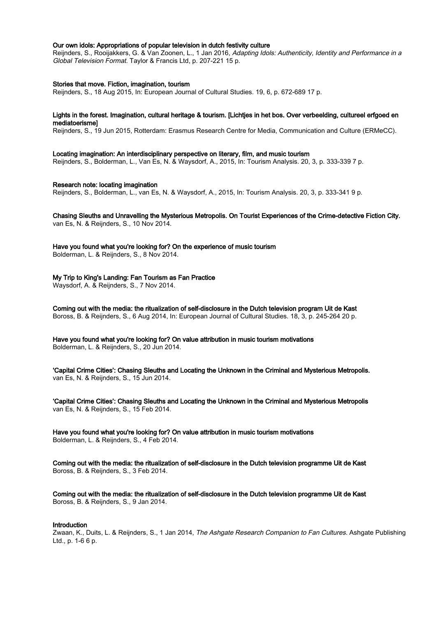# Our own idols: Appropriations of popular television in dutch festivity culture

Reijnders, S., Rooijakkers, G. & Van Zoonen, L., 1 Jan 2016, Adapting Idols: Authenticity, Identity and Performance in a Global Television Format. Taylor & Francis Ltd, p. 207-221 15 p.

#### Stories that move. Fiction, imagination, tourism

Reijnders, S., 18 Aug 2015, In: European Journal of Cultural Studies. 19, 6, p. 672-689 17 p.

# Lights in the forest. Imagination, cultural heritage & tourism. [Lichtjes in het bos. Over verbeelding, cultureel erfgoed en mediatoerisme]

Reijnders, S., 19 Jun 2015, Rotterdam: Erasmus Research Centre for Media, Communication and Culture (ERMeCC).

## Locating imagination: An interdisciplinary perspective on literary, film, and music tourism

Reijnders, S., Bolderman, L., Van Es, N. & Waysdorf, A., 2015, In: Tourism Analysis. 20, 3, p. 333-339 7 p.

#### Research note: locating imagination

Reijnders, S., Bolderman, L., van Es, N. & Waysdorf, A., 2015, In: Tourism Analysis. 20, 3, p. 333-341 9 p.

#### Chasing Sleuths and Unravelling the Mysterious Metropolis. On Tourist Experiences of the Crime-detective Fiction City. van Es, N. & Reijnders, S., 10 Nov 2014.

Have you found what you're looking for? On the experience of music tourism

Bolderman, L. & Reijnders, S., 8 Nov 2014.

# My Trip to King's Landing: Fan Tourism as Fan Practice

Waysdorf, A. & Reijnders, S., 7 Nov 2014.

Coming out with the media: the ritualization of self-disclosure in the Dutch television program Uit de Kast Boross, B. & Reijnders, S., 6 Aug 2014, In: European Journal of Cultural Studies. 18, 3, p. 245-264 20 p.

Have you found what you're looking for? On value attribution in music tourism motivations Bolderman, L. & Reijnders, S., 20 Jun 2014.

'Capital Crime Cities': Chasing Sleuths and Locating the Unknown in the Criminal and Mysterious Metropolis. van Es, N. & Reijnders, S., 15 Jun 2014.

'Capital Crime Cities': Chasing Sleuths and Locating the Unknown in the Criminal and Mysterious Metropolis van Es, N. & Reijnders, S., 15 Feb 2014.

Have you found what you're looking for? On value attribution in music tourism motivations Bolderman, L. & Reijnders, S., 4 Feb 2014.

Coming out with the media: the ritualization of self-disclosure in the Dutch television programme Uit de Kast Boross, B. & Reijnders, S., 3 Feb 2014.

Coming out with the media: the ritualization of self-disclosure in the Dutch television programme Uit de Kast Boross, B. & Reijnders, S., 9 Jan 2014.

# Introduction

Zwaan, K., Duits, L. & Reijnders, S., 1 Jan 2014, The Ashgate Research Companion to Fan Cultures. Ashgate Publishing Ltd., p. 1-6 6 p.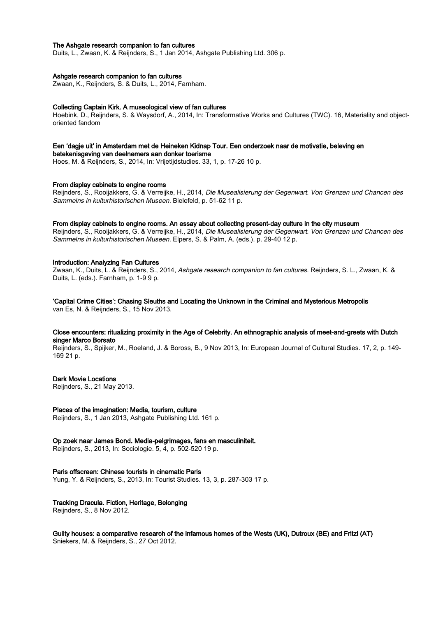# The Ashgate research companion to fan cultures

Duits, L., Zwaan, K. & Reijnders, S., 1 Jan 2014, Ashgate Publishing Ltd. 306 p.

#### Ashgate research companion to fan cultures

Zwaan, K., Reijnders, S. & Duits, L., 2014, Farnham.

#### Collecting Captain Kirk. A museological view of fan cultures

Hoebink, D., Reijnders, S. & Waysdorf, A., 2014, In: Transformative Works and Cultures (TWC). 16, Materiality and objectoriented fandom

#### Een 'dagje uit' in Amsterdam met de Heineken Kidnap Tour. Een onderzoek naar de motivatie, beleving en betekenisgeving van deelnemers aan donker toerisme

Hoes, M. & Reijnders, S., 2014, In: Vrijetijdstudies. 33, 1, p. 17-26 10 p.

#### From display cabinets to engine rooms

Reijnders, S., Rooijakkers, G. & Verreijke, H., 2014, Die Musealisierung der Gegenwart. Von Grenzen und Chancen des Sammelns in kulturhistorischen Museen. Bielefeld, p. 51-62 11 p.

#### From display cabinets to engine rooms. An essay about collecting present-day culture in the city museum

Reijnders, S., Rooijakkers, G. & Verreijke, H., 2014, Die Musealisierung der Gegenwart. Von Grenzen und Chancen des Sammelns in kulturhistorischen Museen. Elpers, S. & Palm, A. (eds.). p. 29-40 12 p.

#### Introduction: Analyzing Fan Cultures

Zwaan, K., Duits, L. & Reijnders, S., 2014, Ashgate research companion to fan cultures. Reijnders, S. L., Zwaan, K. & Duits, L. (eds.). Farnham, p. 1-9 9 p.

'Capital Crime Cities': Chasing Sleuths and Locating the Unknown in the Criminal and Mysterious Metropolis van Es, N. & Reijnders, S., 15 Nov 2013.

# Close encounters: ritualizing proximity in the Age of Celebrity. An ethnographic analysis of meet-and-greets with Dutch singer Marco Borsato

Reijnders, S., Spijker, M., Roeland, J. & Boross, B., 9 Nov 2013, In: European Journal of Cultural Studies. 17, 2, p. 149- 169 21 p.

#### Dark Movie Locations

Reijnders, S., 21 May 2013.

#### Places of the imagination: Media, tourism, culture

Reijnders, S., 1 Jan 2013, Ashgate Publishing Ltd. 161 p.

# Op zoek naar James Bond. Media-pelgrimages, fans en masculiniteit.

Reijnders, S., 2013, In: Sociologie. 5, 4, p. 502-520 19 p.

#### Paris offscreen: Chinese tourists in cinematic Paris

Yung, Y. & Reijnders, S., 2013, In: Tourist Studies. 13, 3, p. 287-303 17 p.

#### Tracking Dracula. Fiction, Heritage, Belonging

Reijnders, S., 8 Nov 2012.

# Guilty houses: a comparative research of the infamous homes of the Wests (UK), Dutroux (BE) and Fritzl (AT) Sniekers, M. & Reijnders, S., 27 Oct 2012.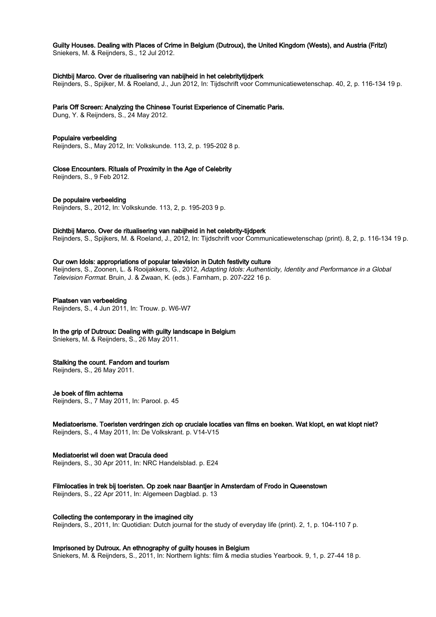# Guilty Houses. Dealing with Places of Crime in Belgium (Dutroux), the United Kingdom (Wests), and Austria (Fritzl)

Sniekers, M. & Reijnders, S., 12 Jul 2012.

# Dichtbij Marco. Over de ritualisering van nabijheid in het celebritytijdperk

Reijnders, S., Spijker, M. & Roeland, J., Jun 2012, In: Tijdschrift voor Communicatiewetenschap. 40, 2, p. 116-134 19 p.

# Paris Off Screen: Analyzing the Chinese Tourist Experience of Cinematic Paris.

Dung, Y. & Reijnders, S., 24 May 2012.

# Populaire verbeelding

Reijnders, S., May 2012, In: Volkskunde. 113, 2, p. 195-202 8 p.

Close Encounters. Rituals of Proximity in the Age of Celebrity

Reijnders, S., 9 Feb 2012.

# De populaire verbeelding

Reijnders, S., 2012, In: Volkskunde. 113, 2, p. 195-203 9 p.

# Dichtbij Marco. Over de ritualisering van nabijheid in het celebrity-tijdperk

Reijnders, S., Spijkers, M. & Roeland, J., 2012, In: Tijdschrift voor Communicatiewetenschap (print). 8, 2, p. 116-134 19 p.

# Our own Idols: appropriations of popular television in Dutch festivity culture

Rejinders, S., Zoonen, L. & Rooijakkers, G., 2012, Adapting Idols: Authenticity, Identity and Performance in a Global Television Format. Bruin, J. & Zwaan, K. (eds.). Farnham, p. 207-222 16 p.

# Plaatsen van verbeelding

Reijnders, S., 4 Jun 2011, In: Trouw. p. W6-W7

# In the grip of Dutroux: Dealing with guilty landscape in Belgium

Sniekers, M. & Reijnders, S., 26 May 2011.

# Stalking the count. Fandom and tourism

Reijnders, S., 26 May 2011.

# Je boek of film achterna

Reijnders, S., 7 May 2011, In: Parool. p. 45

#### Mediatoerisme. Toeristen verdringen zich op cruciale locaties van films en boeken. Wat klopt, en wat klopt niet? Reijnders, S., 4 May 2011, In: De Volkskrant. p. V14-V15

Mediatoerist wil doen wat Dracula deed

Reijnders, S., 30 Apr 2011, In: NRC Handelsblad. p. E24

# Filmlocaties in trek bij toeristen. Op zoek naar Baantjer in Amsterdam of Frodo in Queenstown

Reijnders, S., 22 Apr 2011, In: Algemeen Dagblad. p. 13

Collecting the contemporary in the imagined city

Reijnders, S., 2011, In: Quotidian: Dutch journal for the study of everyday life (print). 2, 1, p. 104-110 7 p.

# Imprisoned by Dutroux. An ethnography of guilty houses in Belgium

Sniekers, M. & Reijnders, S., 2011, In: Northern lights: film & media studies Yearbook. 9, 1, p. 27-44 18 p.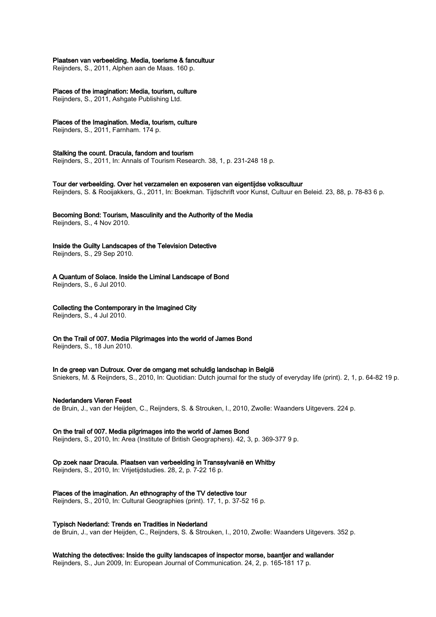# Plaatsen van verbeelding. Media, toerisme & fancultuur

Reijnders, S., 2011, Alphen aan de Maas. 160 p.

# Places of the imagination: Media, tourism, culture

Reijnders, S., 2011, Ashgate Publishing Ltd.

# Places of the Imagination. Media, tourism, culture

Reijnders, S., 2011, Farnham. 174 p.

# Stalking the count. Dracula, fandom and tourism

Reijnders, S., 2011, In: Annals of Tourism Research. 38, 1, p. 231-248 18 p.

# Tour der verbeelding. Over het verzamelen en exposeren van eigentijdse volkscultuur

Reijnders, S. & Rooijakkers, G., 2011, In: Boekman. Tijdschrift voor Kunst, Cultuur en Beleid. 23, 88, p. 78-83 6 p.

# Becoming Bond: Tourism, Masculinity and the Authority of the Media

Reijnders, S., 4 Nov 2010.

# Inside the Guilty Landscapes of the Television Detective

Reijnders, S., 29 Sep 2010.

A Quantum of Solace. Inside the Liminal Landscape of Bond

Reijnders, S., 6 Jul 2010.

# Collecting the Contemporary in the Imagined City

Reijnders, S., 4 Jul 2010.

On the Trail of 007. Media Pilgrimages into the world of James Bond

Reijnders, S., 18 Jun 2010.

# In de greep van Dutroux. Over de omgang met schuldig landschap in België

Sniekers, M. & Reijnders, S., 2010, In: Quotidian: Dutch journal for the study of everyday life (print). 2, 1, p. 64-82 19 p.

# Nederlanders Vieren Feest

de Bruin, J., van der Heijden, C., Reijnders, S. & Strouken, I., 2010, Zwolle: Waanders Uitgevers. 224 p.

# On the trail of 007. Media pilgrimages into the world of James Bond

Reijnders, S., 2010, In: Area (Institute of British Geographers). 42, 3, p. 369-377 9 p.

# Op zoek naar Dracula. Plaatsen van verbeelding in Transsylvanië en Whitby

Reijnders, S., 2010, In: Vrijetijdstudies. 28, 2, p. 7-22 16 p.

# Places of the imagination. An ethnography of the TV detective tour

Reijnders, S., 2010, In: Cultural Geographies (print). 17, 1, p. 37-52 16 p.

# Typisch Nederland: Trends en Tradities in Nederland

de Bruin, J., van der Heijden, C., Reijnders, S. & Strouken, I., 2010, Zwolle: Waanders Uitgevers. 352 p.

# Watching the detectives: Inside the guilty landscapes of inspector morse, baantjer and wallander

Reijnders, S., Jun 2009, In: European Journal of Communication. 24, 2, p. 165-181 17 p.